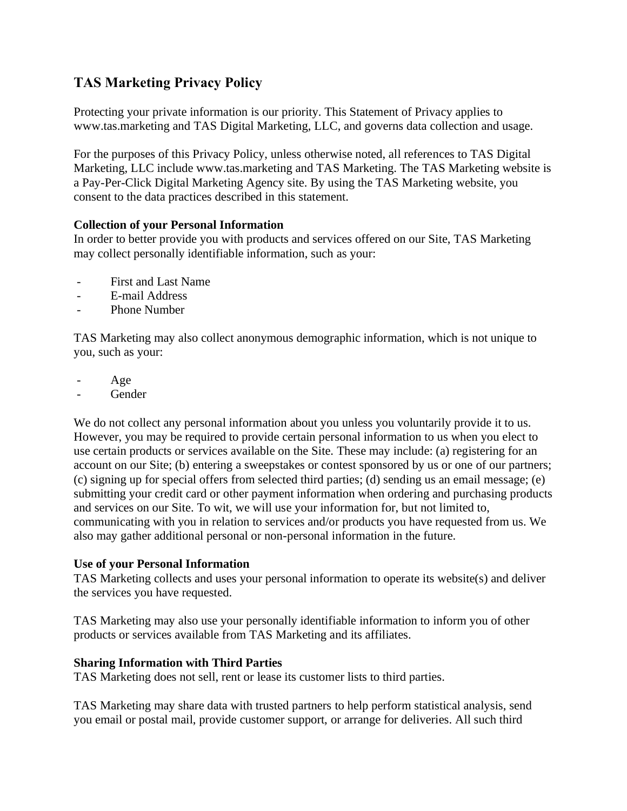# **TAS Marketing Privacy Policy**

Protecting your private information is our priority. This Statement of Privacy applies to www.tas.marketing and TAS Digital Marketing, LLC, and governs data collection and usage.

For the purposes of this Privacy Policy, unless otherwise noted, all references to TAS Digital Marketing, LLC include www.tas.marketing and TAS Marketing. The TAS Marketing website is a Pay-Per-Click Digital Marketing Agency site. By using the TAS Marketing website, you consent to the data practices described in this statement.

## **Collection of your Personal Information**

In order to better provide you with products and services offered on our Site, TAS Marketing may collect personally identifiable information, such as your:

- First and Last Name
- E-mail Address
- Phone Number

TAS Marketing may also collect anonymous demographic information, which is not unique to you, such as your:

- Age
- **Gender**

We do not collect any personal information about you unless you voluntarily provide it to us. However, you may be required to provide certain personal information to us when you elect to use certain products or services available on the Site. These may include: (a) registering for an account on our Site; (b) entering a sweepstakes or contest sponsored by us or one of our partners; (c) signing up for special offers from selected third parties; (d) sending us an email message; (e) submitting your credit card or other payment information when ordering and purchasing products and services on our Site. To wit, we will use your information for, but not limited to, communicating with you in relation to services and/or products you have requested from us. We also may gather additional personal or non-personal information in the future.

## **Use of your Personal Information**

TAS Marketing collects and uses your personal information to operate its website(s) and deliver the services you have requested.

TAS Marketing may also use your personally identifiable information to inform you of other products or services available from TAS Marketing and its affiliates.

## **Sharing Information with Third Parties**

TAS Marketing does not sell, rent or lease its customer lists to third parties.

TAS Marketing may share data with trusted partners to help perform statistical analysis, send you email or postal mail, provide customer support, or arrange for deliveries. All such third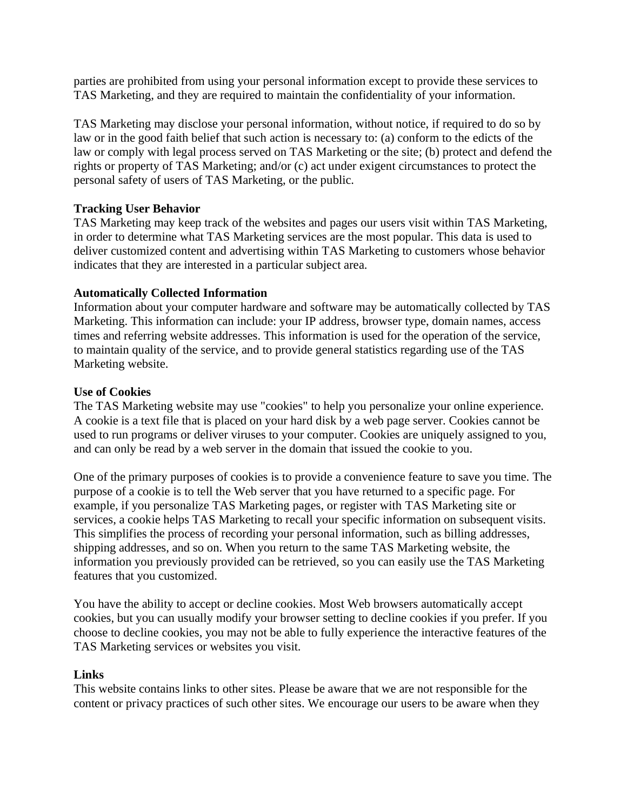parties are prohibited from using your personal information except to provide these services to TAS Marketing, and they are required to maintain the confidentiality of your information.

TAS Marketing may disclose your personal information, without notice, if required to do so by law or in the good faith belief that such action is necessary to: (a) conform to the edicts of the law or comply with legal process served on TAS Marketing or the site; (b) protect and defend the rights or property of TAS Marketing; and/or (c) act under exigent circumstances to protect the personal safety of users of TAS Marketing, or the public.

## **Tracking User Behavior**

TAS Marketing may keep track of the websites and pages our users visit within TAS Marketing, in order to determine what TAS Marketing services are the most popular. This data is used to deliver customized content and advertising within TAS Marketing to customers whose behavior indicates that they are interested in a particular subject area.

## **Automatically Collected Information**

Information about your computer hardware and software may be automatically collected by TAS Marketing. This information can include: your IP address, browser type, domain names, access times and referring website addresses. This information is used for the operation of the service, to maintain quality of the service, and to provide general statistics regarding use of the TAS Marketing website.

#### **Use of Cookies**

The TAS Marketing website may use "cookies" to help you personalize your online experience. A cookie is a text file that is placed on your hard disk by a web page server. Cookies cannot be used to run programs or deliver viruses to your computer. Cookies are uniquely assigned to you, and can only be read by a web server in the domain that issued the cookie to you.

One of the primary purposes of cookies is to provide a convenience feature to save you time. The purpose of a cookie is to tell the Web server that you have returned to a specific page. For example, if you personalize TAS Marketing pages, or register with TAS Marketing site or services, a cookie helps TAS Marketing to recall your specific information on subsequent visits. This simplifies the process of recording your personal information, such as billing addresses, shipping addresses, and so on. When you return to the same TAS Marketing website, the information you previously provided can be retrieved, so you can easily use the TAS Marketing features that you customized.

You have the ability to accept or decline cookies. Most Web browsers automatically accept cookies, but you can usually modify your browser setting to decline cookies if you prefer. If you choose to decline cookies, you may not be able to fully experience the interactive features of the TAS Marketing services or websites you visit.

#### **Links**

This website contains links to other sites. Please be aware that we are not responsible for the content or privacy practices of such other sites. We encourage our users to be aware when they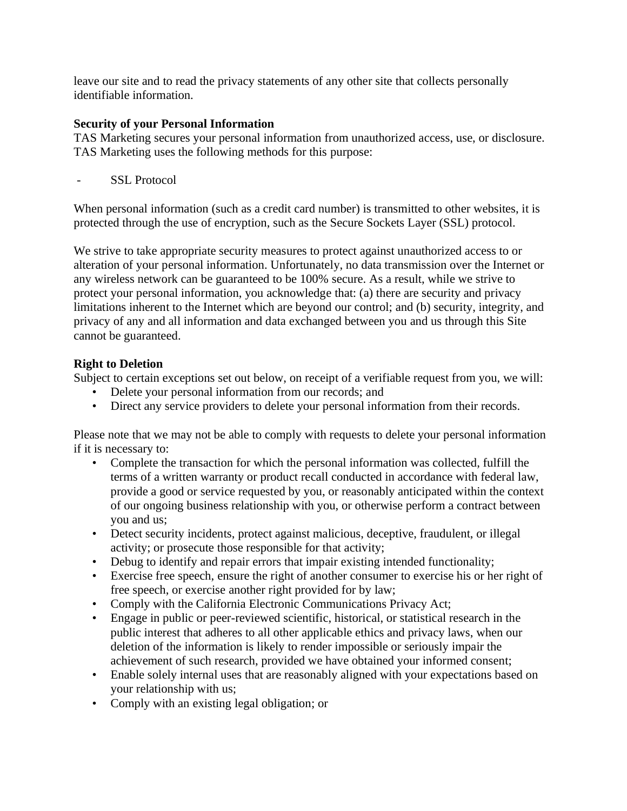leave our site and to read the privacy statements of any other site that collects personally identifiable information.

# **Security of your Personal Information**

TAS Marketing secures your personal information from unauthorized access, use, or disclosure. TAS Marketing uses the following methods for this purpose:

- SSL Protocol

When personal information (such as a credit card number) is transmitted to other websites, it is protected through the use of encryption, such as the Secure Sockets Layer (SSL) protocol.

We strive to take appropriate security measures to protect against unauthorized access to or alteration of your personal information. Unfortunately, no data transmission over the Internet or any wireless network can be guaranteed to be 100% secure. As a result, while we strive to protect your personal information, you acknowledge that: (a) there are security and privacy limitations inherent to the Internet which are beyond our control; and (b) security, integrity, and privacy of any and all information and data exchanged between you and us through this Site cannot be guaranteed.

# **Right to Deletion**

Subject to certain exceptions set out below, on receipt of a verifiable request from you, we will:

- Delete your personal information from our records; and
- Direct any service providers to delete your personal information from their records.

Please note that we may not be able to comply with requests to delete your personal information if it is necessary to:

- Complete the transaction for which the personal information was collected, fulfill the terms of a written warranty or product recall conducted in accordance with federal law, provide a good or service requested by you, or reasonably anticipated within the context of our ongoing business relationship with you, or otherwise perform a contract between you and us;
- Detect security incidents, protect against malicious, deceptive, fraudulent, or illegal activity; or prosecute those responsible for that activity;
- Debug to identify and repair errors that impair existing intended functionality;
- Exercise free speech, ensure the right of another consumer to exercise his or her right of free speech, or exercise another right provided for by law;
- Comply with the California Electronic Communications Privacy Act;
- Engage in public or peer-reviewed scientific, historical, or statistical research in the public interest that adheres to all other applicable ethics and privacy laws, when our deletion of the information is likely to render impossible or seriously impair the achievement of such research, provided we have obtained your informed consent;
- Enable solely internal uses that are reasonably aligned with your expectations based on your relationship with us;
- Comply with an existing legal obligation; or